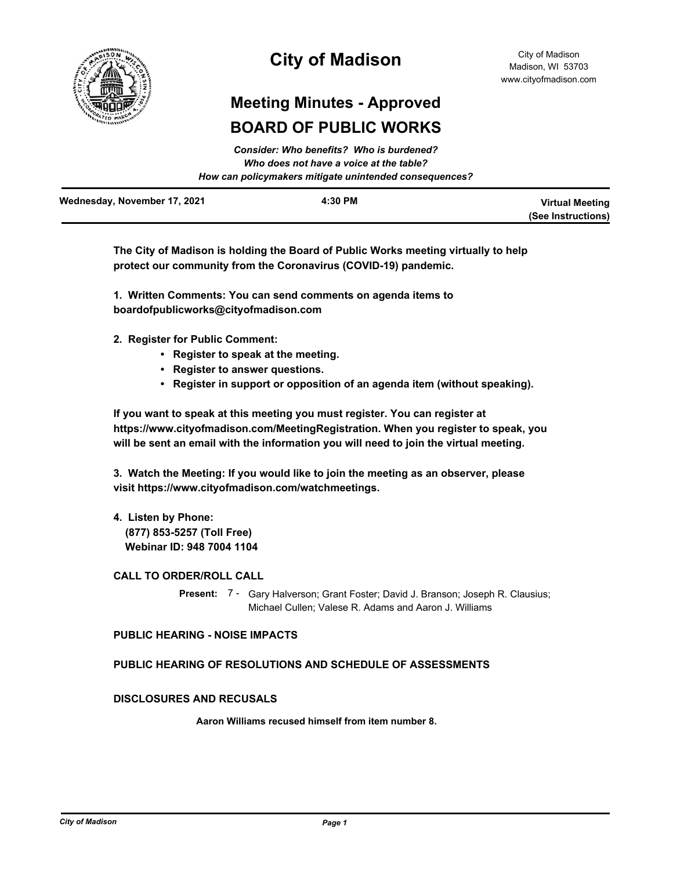

# **City of Madison**

# **Meeting Minutes - Approved BOARD OF PUBLIC WORKS**

| Consider: Who benefits? Who is burdened?                                                          |         |                                              |  |
|---------------------------------------------------------------------------------------------------|---------|----------------------------------------------|--|
| Who does not have a voice at the table?<br>How can policymakers mitigate unintended consequences? |         |                                              |  |
| Wednesday, November 17, 2021                                                                      | 4:30 PM | <b>Virtual Meeting</b><br>(See Instructions) |  |

**The City of Madison is holding the Board of Public Works meeting virtually to help protect our community from the Coronavirus (COVID-19) pandemic.**

**1. Written Comments: You can send comments on agenda items to boardofpublicworks@cityofmadison.com**

- **2. Register for Public Comment:** 
	- **Register to speak at the meeting.**
	- **Register to answer questions.**
	- **Register in support or opposition of an agenda item (without speaking).**

**If you want to speak at this meeting you must register. You can register at https://www.cityofmadison.com/MeetingRegistration. When you register to speak, you will be sent an email with the information you will need to join the virtual meeting.**

**3. Watch the Meeting: If you would like to join the meeting as an observer, please visit https://www.cityofmadison.com/watchmeetings.**

**4. Listen by Phone: (877) 853-5257 (Toll Free) Webinar ID: 948 7004 1104**

# **CALL TO ORDER/ROLL CALL**

Present: 7 - Gary Halverson; Grant Foster; David J. Branson; Joseph R. Clausius; Michael Cullen; Valese R. Adams and Aaron J. Williams

# **PUBLIC HEARING - NOISE IMPACTS**

# **PUBLIC HEARING OF RESOLUTIONS AND SCHEDULE OF ASSESSMENTS**

# **DISCLOSURES AND RECUSALS**

**Aaron Williams recused himself from item number 8.**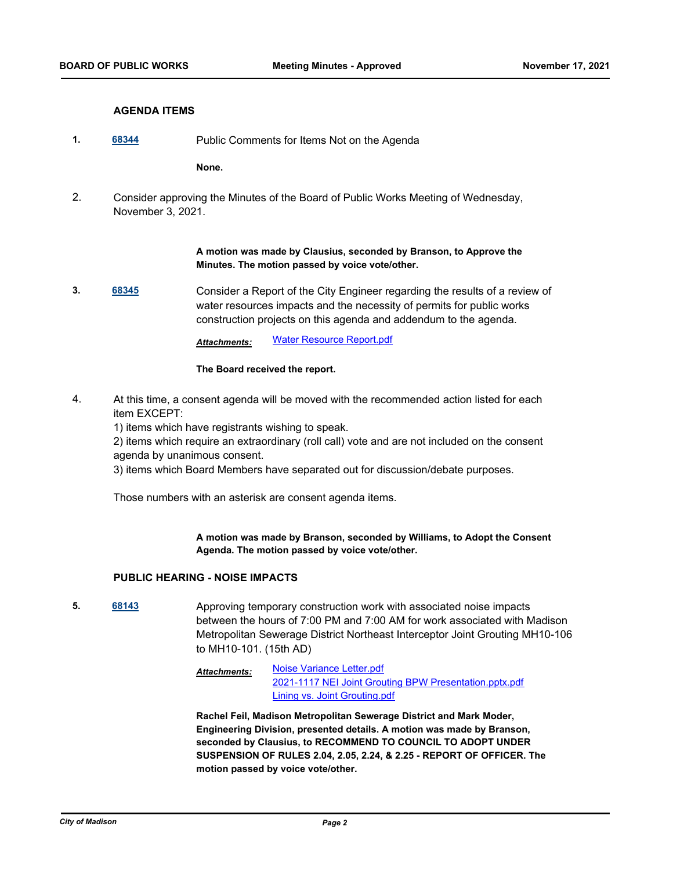#### **AGENDA ITEMS**

**1. [68344](http://madison.legistar.com/gateway.aspx?m=l&id=/matter.aspx?key=80040)** Public Comments for Items Not on the Agenda

**None.**

2. Consider approving the Minutes of the Board of Public Works Meeting of Wednesday, November 3, 2021.

> **A motion was made by Clausius, seconded by Branson, to Approve the Minutes. The motion passed by voice vote/other.**

**3. [68345](http://madison.legistar.com/gateway.aspx?m=l&id=/matter.aspx?key=80041)** Consider a Report of the City Engineer regarding the results of a review of water resources impacts and the necessity of permits for public works construction projects on this agenda and addendum to the agenda.

*Attachments:* [Water Resource Report.pdf](http://madison.legistar.com/gateway.aspx?M=F&ID=dc719aed-37c0-4a6d-af62-836419651399.pdf)

#### **The Board received the report.**

4. At this time, a consent agenda will be moved with the recommended action listed for each item EXCEPT:

1) items which have registrants wishing to speak.

2) items which require an extraordinary (roll call) vote and are not included on the consent agenda by unanimous consent.

3) items which Board Members have separated out for discussion/debate purposes.

Those numbers with an asterisk are consent agenda items.

**A motion was made by Branson, seconded by Williams, to Adopt the Consent Agenda. The motion passed by voice vote/other.**

#### **PUBLIC HEARING - NOISE IMPACTS**

**5. [68143](http://madison.legistar.com/gateway.aspx?m=l&id=/matter.aspx?key=79895)** Approving temporary construction work with associated noise impacts between the hours of 7:00 PM and 7:00 AM for work associated with Madison Metropolitan Sewerage District Northeast Interceptor Joint Grouting MH10-106 to MH10-101. (15th AD)

> [Noise Variance Letter.pdf](http://madison.legistar.com/gateway.aspx?M=F&ID=0b41b4d4-5c74-4516-90a7-8f3794adb5a7.pdf) [2021-1117 NEI Joint Grouting BPW Presentation.pptx.pdf](http://madison.legistar.com/gateway.aspx?M=F&ID=bca639ce-8ebc-4a3e-abfd-fe3dee163b38.pdf) [Lining vs. Joint Grouting.pdf](http://madison.legistar.com/gateway.aspx?M=F&ID=6bed395d-a012-4ff0-bb8f-9a0a145df769.pdf) *Attachments:*

**Rachel Feil, Madison Metropolitan Sewerage District and Mark Moder, Engineering Division, presented details. A motion was made by Branson, seconded by Clausius, to RECOMMEND TO COUNCIL TO ADOPT UNDER SUSPENSION OF RULES 2.04, 2.05, 2.24, & 2.25 - REPORT OF OFFICER. The motion passed by voice vote/other.**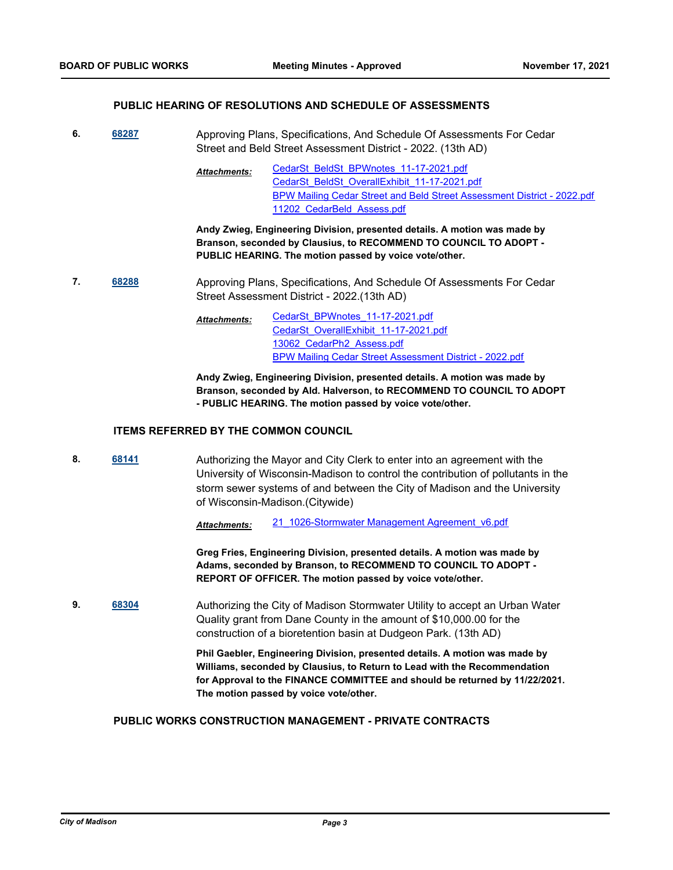### **PUBLIC HEARING OF RESOLUTIONS AND SCHEDULE OF ASSESSMENTS**

- **6. [68287](http://madison.legistar.com/gateway.aspx?m=l&id=/matter.aspx?key=80003)** Approving Plans, Specifications, And Schedule Of Assessments For Cedar Street and Beld Street Assessment District - 2022. (13th AD)
	- [CedarSt\\_BeldSt\\_BPWnotes\\_11-17-2021.pdf](http://madison.legistar.com/gateway.aspx?M=F&ID=06bbd4ef-e4f5-4dc5-a740-d835c6843838.pdf) [CedarSt\\_BeldSt\\_OverallExhibit\\_11-17-2021.pdf](http://madison.legistar.com/gateway.aspx?M=F&ID=ffdfee4b-3f6b-4860-946a-67500e5b589a.pdf) [BPW Mailing Cedar Street and Beld Street Assessment District - 2022.pdf](http://madison.legistar.com/gateway.aspx?M=F&ID=60da1ea7-0d14-4470-b5c1-4765bdbd4825.pdf) [11202\\_CedarBeld\\_Assess.pdf](http://madison.legistar.com/gateway.aspx?M=F&ID=e8b33c64-e027-4c2a-b881-658994144abd.pdf) *Attachments:*

**Andy Zwieg, Engineering Division, presented details. A motion was made by Branson, seconded by Clausius, to RECOMMEND TO COUNCIL TO ADOPT - PUBLIC HEARING. The motion passed by voice vote/other.**

- **7. [68288](http://madison.legistar.com/gateway.aspx?m=l&id=/matter.aspx?key=80004)** Approving Plans, Specifications, And Schedule Of Assessments For Cedar Street Assessment District - 2022.(13th AD)
	- [CedarSt\\_BPWnotes\\_11-17-2021.pdf](http://madison.legistar.com/gateway.aspx?M=F&ID=cbd3ee29-a411-4e7b-ac52-d7b1201564c9.pdf) [CedarSt\\_OverallExhibit\\_11-17-2021.pdf](http://madison.legistar.com/gateway.aspx?M=F&ID=72b2c02d-d0c7-42c0-9f48-e1e139154bf7.pdf) 13062 CedarPh2 Assess.pdf [BPW Mailing Cedar Street Assessment District - 2022.pdf](http://madison.legistar.com/gateway.aspx?M=F&ID=6cf4a314-8e0f-4030-be85-1a4a5cc3532d.pdf) *Attachments:*

**Andy Zwieg, Engineering Division, presented details. A motion was made by Branson, seconded by Ald. Halverson, to RECOMMEND TO COUNCIL TO ADOPT - PUBLIC HEARING. The motion passed by voice vote/other.**

### **ITEMS REFERRED BY THE COMMON COUNCIL**

**8. [68141](http://madison.legistar.com/gateway.aspx?m=l&id=/matter.aspx?key=79893)** Authorizing the Mayor and City Clerk to enter into an agreement with the University of Wisconsin-Madison to control the contribution of pollutants in the storm sewer systems of and between the City of Madison and the University of Wisconsin-Madison.(Citywide)

*Attachments:* [21\\_1026-Stormwater Management Agreement\\_v6.pdf](http://madison.legistar.com/gateway.aspx?M=F&ID=d3e7e6df-4a81-4340-b4c8-39f4309b72e0.pdf)

**Greg Fries, Engineering Division, presented details. A motion was made by Adams, seconded by Branson, to RECOMMEND TO COUNCIL TO ADOPT - REPORT OF OFFICER. The motion passed by voice vote/other.**

**9. [68304](http://madison.legistar.com/gateway.aspx?m=l&id=/matter.aspx?key=80014)** Authorizing the City of Madison Stormwater Utility to accept an Urban Water Quality grant from Dane County in the amount of \$10,000.00 for the construction of a bioretention basin at Dudgeon Park. (13th AD)

> **Phil Gaebler, Engineering Division, presented details. A motion was made by Williams, seconded by Clausius, to Return to Lead with the Recommendation for Approval to the FINANCE COMMITTEE and should be returned by 11/22/2021. The motion passed by voice vote/other.**

# **PUBLIC WORKS CONSTRUCTION MANAGEMENT - PRIVATE CONTRACTS**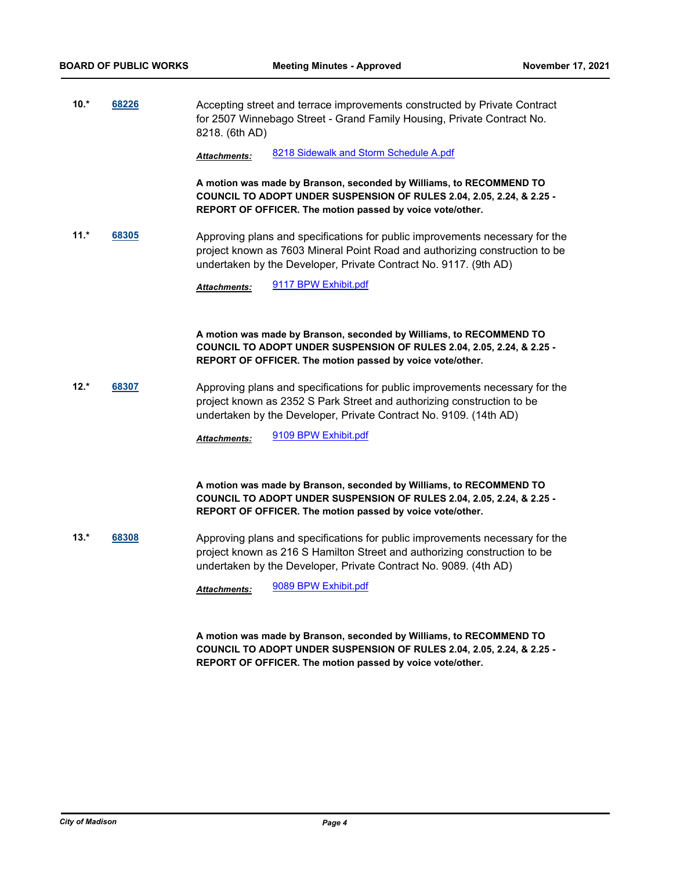**10.\* [68226](http://madison.legistar.com/gateway.aspx?m=l&id=/matter.aspx?key=79951)** Accepting street and terrace improvements constructed by Private Contract for 2507 Winnebago Street - Grand Family Housing, Private Contract No. 8218. (6th AD)

*Attachments:* [8218 Sidewalk and Storm Schedule A.pdf](http://madison.legistar.com/gateway.aspx?M=F&ID=4d36e50b-76c8-45f3-8064-2df05ae77510.pdf)

**A motion was made by Branson, seconded by Williams, to RECOMMEND TO COUNCIL TO ADOPT UNDER SUSPENSION OF RULES 2.04, 2.05, 2.24, & 2.25 - REPORT OF OFFICER. The motion passed by voice vote/other.**

**11.\* [68305](http://madison.legistar.com/gateway.aspx?m=l&id=/matter.aspx?key=80015)** Approving plans and specifications for public improvements necessary for the project known as 7603 Mineral Point Road and authorizing construction to be undertaken by the Developer, Private Contract No. 9117. (9th AD)

*Attachments:* [9117 BPW Exhibit.pdf](http://madison.legistar.com/gateway.aspx?M=F&ID=ef26e658-ba31-44df-ba32-4c79c1628fb1.pdf)

**A motion was made by Branson, seconded by Williams, to RECOMMEND TO COUNCIL TO ADOPT UNDER SUSPENSION OF RULES 2.04, 2.05, 2.24, & 2.25 - REPORT OF OFFICER. The motion passed by voice vote/other.**

**12.\* [68307](http://madison.legistar.com/gateway.aspx?m=l&id=/matter.aspx?key=80017)** Approving plans and specifications for public improvements necessary for the project known as 2352 S Park Street and authorizing construction to be undertaken by the Developer, Private Contract No. 9109. (14th AD)

*Attachments:* [9109 BPW Exhibit.pdf](http://madison.legistar.com/gateway.aspx?M=F&ID=47614629-2834-42fc-b48f-ba7f81e6fad6.pdf)

**A motion was made by Branson, seconded by Williams, to RECOMMEND TO COUNCIL TO ADOPT UNDER SUSPENSION OF RULES 2.04, 2.05, 2.24, & 2.25 - REPORT OF OFFICER. The motion passed by voice vote/other.**

**13.\* [68308](http://madison.legistar.com/gateway.aspx?m=l&id=/matter.aspx?key=80018)** Approving plans and specifications for public improvements necessary for the project known as 216 S Hamilton Street and authorizing construction to be undertaken by the Developer, Private Contract No. 9089. (4th AD)

*Attachments:* [9089 BPW Exhibit.pdf](http://madison.legistar.com/gateway.aspx?M=F&ID=cb058fe1-11ec-48b1-bbf5-fada627fa7be.pdf)

**A motion was made by Branson, seconded by Williams, to RECOMMEND TO COUNCIL TO ADOPT UNDER SUSPENSION OF RULES 2.04, 2.05, 2.24, & 2.25 - REPORT OF OFFICER. The motion passed by voice vote/other.**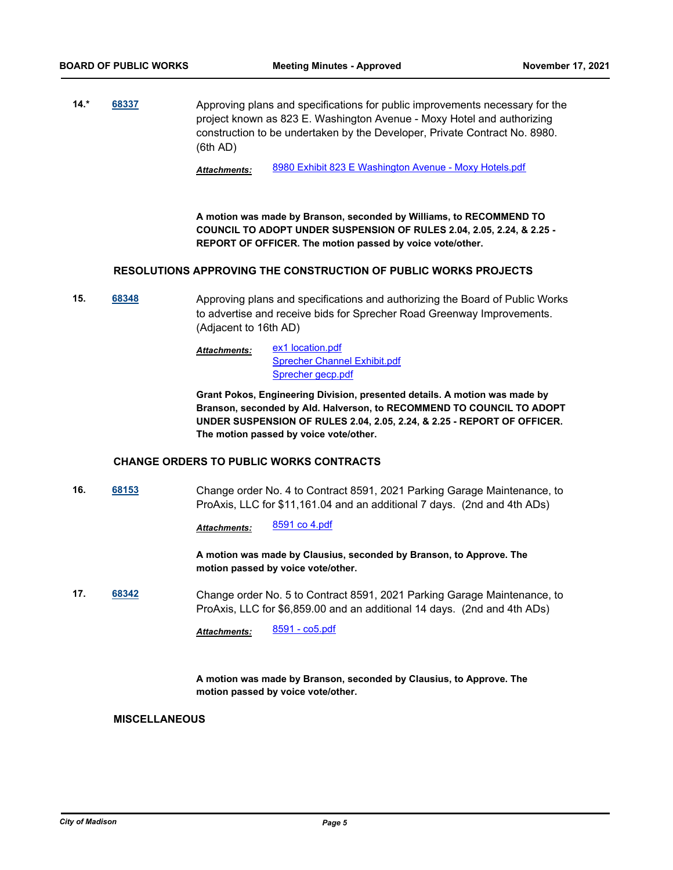**14.\* [68337](http://madison.legistar.com/gateway.aspx?m=l&id=/matter.aspx?key=80033)** Approving plans and specifications for public improvements necessary for the project known as 823 E. Washington Avenue - Moxy Hotel and authorizing construction to be undertaken by the Developer, Private Contract No. 8980. (6th AD)

*Attachments:* [8980 Exhibit 823 E Washington Avenue - Moxy Hotels.pdf](http://madison.legistar.com/gateway.aspx?M=F&ID=b4385429-3cac-46b9-a07e-a9355f056cc5.pdf)

**A motion was made by Branson, seconded by Williams, to RECOMMEND TO COUNCIL TO ADOPT UNDER SUSPENSION OF RULES 2.04, 2.05, 2.24, & 2.25 - REPORT OF OFFICER. The motion passed by voice vote/other.**

#### **RESOLUTIONS APPROVING THE CONSTRUCTION OF PUBLIC WORKS PROJECTS**

**15. [68348](http://madison.legistar.com/gateway.aspx?m=l&id=/matter.aspx?key=80044)** Approving plans and specifications and authorizing the Board of Public Works to advertise and receive bids for Sprecher Road Greenway Improvements. (Adjacent to 16th AD)

> [ex1 location.pdf](http://madison.legistar.com/gateway.aspx?M=F&ID=4a844c5d-bc29-4faa-8d51-c5750923f612.pdf) [Sprecher Channel Exhibit.pdf](http://madison.legistar.com/gateway.aspx?M=F&ID=b882bab4-e688-4e70-9065-123fe7966c79.pdf) [Sprecher gecp.pdf](http://madison.legistar.com/gateway.aspx?M=F&ID=3a5fa3dd-6019-4c64-92c7-f3c831ab7270.pdf) *Attachments:*

**Grant Pokos, Engineering Division, presented details. A motion was made by Branson, seconded by Ald. Halverson, to RECOMMEND TO COUNCIL TO ADOPT UNDER SUSPENSION OF RULES 2.04, 2.05, 2.24, & 2.25 - REPORT OF OFFICER. The motion passed by voice vote/other.**

#### **CHANGE ORDERS TO PUBLIC WORKS CONTRACTS**

**16. [68153](http://madison.legistar.com/gateway.aspx?m=l&id=/matter.aspx?key=79905)** Change order No. 4 to Contract 8591, 2021 Parking Garage Maintenance, to ProAxis, LLC for \$11,161.04 and an additional 7 days. (2nd and 4th ADs)

*Attachments:* [8591 co 4.pdf](http://madison.legistar.com/gateway.aspx?M=F&ID=ac02cbe1-5ea7-412e-a23b-bc9551bb832d.pdf)

**A motion was made by Clausius, seconded by Branson, to Approve. The motion passed by voice vote/other.**

**17. [68342](http://madison.legistar.com/gateway.aspx?m=l&id=/matter.aspx?key=80038)** Change order No. 5 to Contract 8591, 2021 Parking Garage Maintenance, to ProAxis, LLC for \$6,859.00 and an additional 14 days. (2nd and 4th ADs)

*Attachments:* [8591 - co5.pdf](http://madison.legistar.com/gateway.aspx?M=F&ID=d4fbb997-1402-464c-bbfa-d4cd95c032d8.pdf)

**A motion was made by Branson, seconded by Clausius, to Approve. The motion passed by voice vote/other.**

#### **MISCELLANEOUS**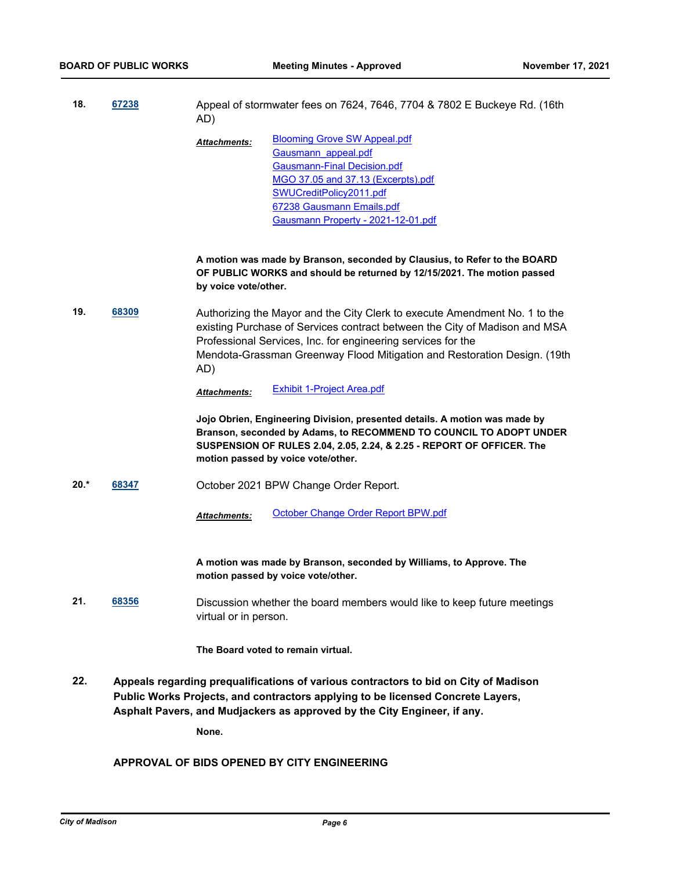| 18. | 67238 | Appeal of stormwater fees on 7624, 7646, 7704 & 7802 E Buckeye Rd. (16th |
|-----|-------|--------------------------------------------------------------------------|
|     |       | AD)                                                                      |

[Blooming Grove SW Appeal.pdf](http://madison.legistar.com/gateway.aspx?M=F&ID=8429e8cc-880f-49b2-8d67-6539bf0069c6.pdf) [Gausmann\\_appeal.pdf](http://madison.legistar.com/gateway.aspx?M=F&ID=ae0299c8-0714-429d-b026-6ff792d0289b.pdf) [Gausmann-Final Decision.pdf](http://madison.legistar.com/gateway.aspx?M=F&ID=5a6a5447-61e7-4aed-a888-f55e1013736b.pdf) [MGO 37.05 and 37.13 \(Excerpts\).pdf](http://madison.legistar.com/gateway.aspx?M=F&ID=9aeffc43-9e82-4dd9-97e1-267026441d7c.pdf) [SWUCreditPolicy2011.pdf](http://madison.legistar.com/gateway.aspx?M=F&ID=cbe11180-85c8-4eb7-895f-5eb6854488d3.pdf) [67238 Gausmann Emails.pdf](http://madison.legistar.com/gateway.aspx?M=F&ID=c53757b8-bee3-45a6-9196-7b9d5e75799c.pdf) [Gausmann Property - 2021-12-01.pdf](http://madison.legistar.com/gateway.aspx?M=F&ID=926d125a-7726-4e9c-923e-355fb43b9b19.pdf) *Attachments:*

**A motion was made by Branson, seconded by Clausius, to Refer to the BOARD OF PUBLIC WORKS and should be returned by 12/15/2021. The motion passed by voice vote/other.**

**19. [68309](http://madison.legistar.com/gateway.aspx?m=l&id=/matter.aspx?key=80019)** Authorizing the Mayor and the City Clerk to execute Amendment No. 1 to the existing Purchase of Services contract between the City of Madison and MSA Professional Services, Inc. for engineering services for the Mendota-Grassman Greenway Flood Mitigation and Restoration Design. (19th AD)

*Attachments:* [Exhibit 1-Project Area.pdf](http://madison.legistar.com/gateway.aspx?M=F&ID=1e65a59d-a99d-4d9a-a5e9-b191c3010c97.pdf)

**Jojo Obrien, Engineering Division, presented details. A motion was made by Branson, seconded by Adams, to RECOMMEND TO COUNCIL TO ADOPT UNDER SUSPENSION OF RULES 2.04, 2.05, 2.24, & 2.25 - REPORT OF OFFICER. The motion passed by voice vote/other.**

**20.\* [68347](http://madison.legistar.com/gateway.aspx?m=l&id=/matter.aspx?key=80043)** October 2021 BPW Change Order Report.

*Attachments:* [October Change Order Report BPW.pdf](http://madison.legistar.com/gateway.aspx?M=F&ID=192eda16-c326-4095-8470-4fc47bb73cfe.pdf)

**A motion was made by Branson, seconded by Williams, to Approve. The motion passed by voice vote/other.**

**21. [68356](http://madison.legistar.com/gateway.aspx?m=l&id=/matter.aspx?key=80052)** Discussion whether the board members would like to keep future meetings virtual or in person.

**The Board voted to remain virtual.**

**Appeals regarding prequalifications of various contractors to bid on City of Madison Public Works Projects, and contractors applying to be licensed Concrete Layers, Asphalt Pavers, and Mudjackers as approved by the City Engineer, if any. 22.**

**None.**

# **APPROVAL OF BIDS OPENED BY CITY ENGINEERING**